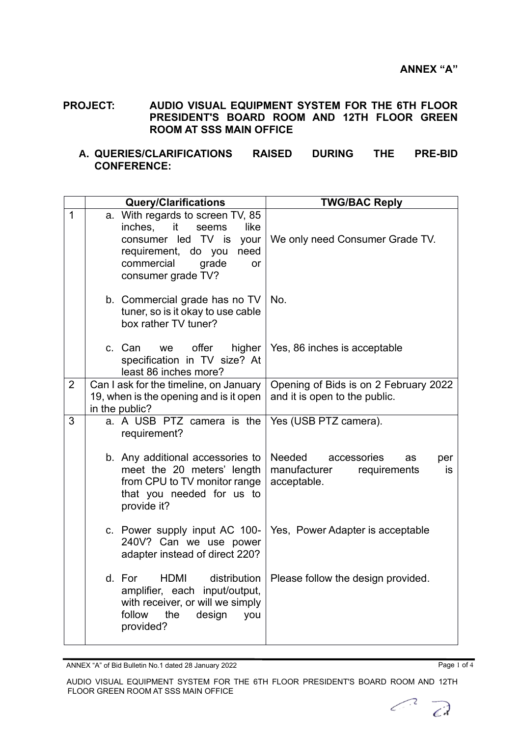**PROJECT: AUDIO VISUAL EQUIPMENT SYSTEM FOR THE 6TH FLOOR PRESIDENT'S BOARD ROOM AND 12TH FLOOR GREEN ROOM AT SSS MAIN OFFICE**

## **A. QUERIES/CLARIFICATIONS RAISED DURING THE PRE-BID CONFERENCE:**

|                | <b>Query/Clarifications</b> |                                                                                                                                                                                    | <b>TWG/BAC Reply</b>                                                                     |
|----------------|-----------------------------|------------------------------------------------------------------------------------------------------------------------------------------------------------------------------------|------------------------------------------------------------------------------------------|
| 1              |                             | a. With regards to screen TV, 85<br>it<br>inches.<br>seems<br>like<br>consumer led TV is<br>your<br>requirement, do you<br>need<br>commercial<br>grade<br>or<br>consumer grade TV? | We only need Consumer Grade TV.                                                          |
|                |                             | b. Commercial grade has no TV<br>tuner, so is it okay to use cable<br>box rather TV tuner?                                                                                         | No.                                                                                      |
|                |                             | c. Can<br>offer<br>higher<br>we<br>specification in TV size? At<br>least 86 inches more?                                                                                           | Yes, 86 inches is acceptable                                                             |
| $\overline{2}$ |                             | Can I ask for the timeline, on January<br>19, when is the opening and is it open<br>in the public?                                                                                 | Opening of Bids is on 2 February 2022<br>and it is open to the public.                   |
| 3              |                             | a. A USB PTZ camera is the<br>requirement?                                                                                                                                         | Yes (USB PTZ camera).                                                                    |
|                |                             | b. Any additional accessories to<br>meet the 20 meters' length<br>from CPU to TV monitor range<br>that you needed for us to<br>provide it?                                         | Needed<br>accessories<br>as<br>per<br>manufacturer<br>requirements<br>is.<br>acceptable. |
|                |                             | c. Power supply input AC 100-<br>240V? Can we use power<br>adapter instead of direct 220?                                                                                          | Yes, Power Adapter is acceptable                                                         |
|                |                             | distribution<br>d. For<br><b>HDMI</b><br>amplifier, each input/output,<br>with receiver, or will we simply<br>follow<br>design<br>the<br>you<br>provided?                          | Please follow the design provided.                                                       |

ANNEX "A" of Bid Bulletin No.1 dated 28 January 2022 Page 1 of 4

 $\vec{C}$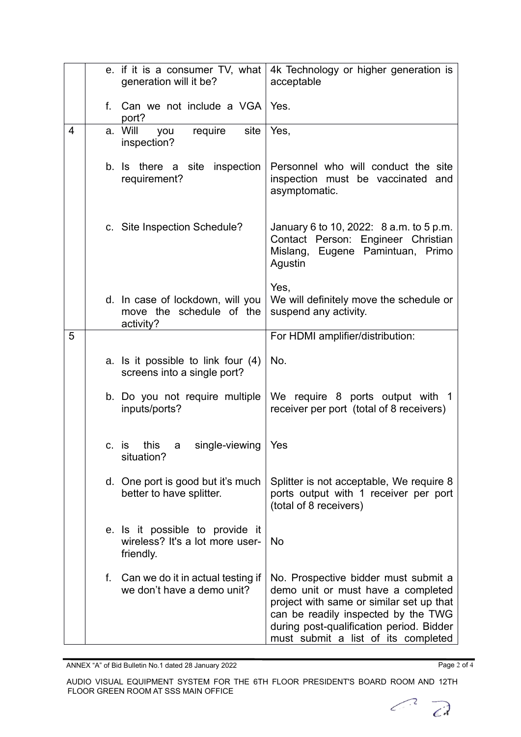|   | e. if it is a consumer TV, what<br>generation will it be?                       | 4k Technology or higher generation is<br>acceptable                                                                                                                                                                                              |
|---|---------------------------------------------------------------------------------|--------------------------------------------------------------------------------------------------------------------------------------------------------------------------------------------------------------------------------------------------|
|   | f. Can we not include a VGA   Yes.<br>port?                                     |                                                                                                                                                                                                                                                  |
| 4 | a. Will<br>require<br>site<br>you<br>inspection?                                | Yes,                                                                                                                                                                                                                                             |
|   | inspection<br>b. Is there a site<br>requirement?                                | Personnel who will conduct the site<br>inspection must be vaccinated and<br>asymptomatic.                                                                                                                                                        |
|   | c. Site Inspection Schedule?                                                    | January 6 to 10, 2022: 8 a.m. to 5 p.m.<br>Contact Person: Engineer Christian<br>Eugene Pamintuan, Primo<br>Mislang,<br>Agustin                                                                                                                  |
|   | d. In case of lockdown, will you<br>move the schedule of the<br>activity?       | Yes,<br>We will definitely move the schedule or<br>suspend any activity.                                                                                                                                                                         |
| 5 |                                                                                 | For HDMI amplifier/distribution:                                                                                                                                                                                                                 |
|   | a. Is it possible to link four (4)<br>screens into a single port?               | No.                                                                                                                                                                                                                                              |
|   | b. Do you not require multiple<br>inputs/ports?                                 | We require 8 ports output with 1<br>receiver per port (total of 8 receivers)                                                                                                                                                                     |
|   | this<br>single-viewing<br>c. is<br>a<br>situation?                              | Yes                                                                                                                                                                                                                                              |
|   | d. One port is good but it's much<br>better to have splitter.                   | Splitter is not acceptable, We require 8<br>ports output with 1 receiver per port<br>(total of 8 receivers)                                                                                                                                      |
|   | e. Is it possible to provide it<br>wireless? It's a lot more user-<br>friendly. | No                                                                                                                                                                                                                                               |
|   | f. Can we do it in actual testing if<br>we don't have a demo unit?              | No. Prospective bidder must submit a<br>demo unit or must have a completed<br>project with same or similar set up that<br>can be readily inspected by the TWG<br>during post-qualification period. Bidder<br>must submit a list of its completed |

ANNEX "A" of Bid Bulletin No.1 dated 28 January 2022 Page 2 of 4

AUDIO VISUAL EQUIPMENT SYSTEM FOR THE 6TH FLOOR PRESIDENT'S BOARD ROOM AND 12TH FLOOR GREEN ROOM AT SSS MAIN OFFICE

 $\bigcap$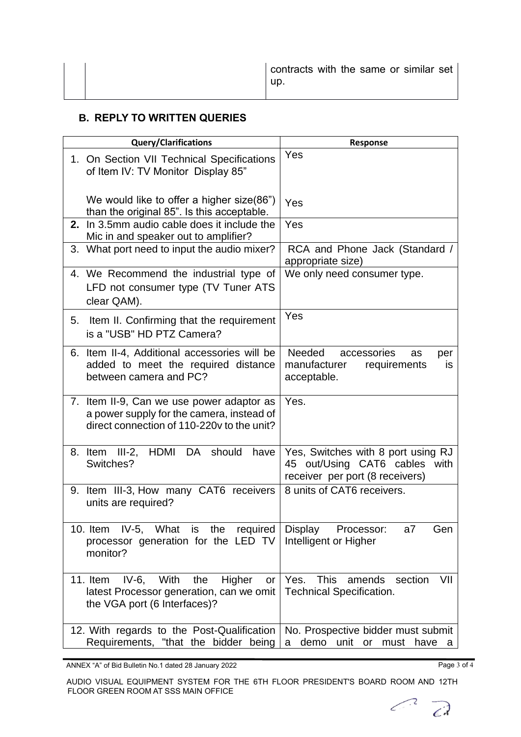|  | contracts with the same or similar set  <br>up. |
|--|-------------------------------------------------|
|--|-------------------------------------------------|

## **B. REPLY TO WRITTEN QUERIES**

| <b>Query/Clarifications</b>                                                                                                          | <b>Response</b>                                                                                        |
|--------------------------------------------------------------------------------------------------------------------------------------|--------------------------------------------------------------------------------------------------------|
| 1. On Section VII Technical Specifications<br>of Item IV: TV Monitor Display 85"                                                     | Yes                                                                                                    |
| We would like to offer a higher size(86")<br>than the original 85". Is this acceptable.                                              | Yes                                                                                                    |
| 2. In 3.5mm audio cable does it include the<br>Mic in and speaker out to amplifier?                                                  | Yes                                                                                                    |
| 3. What port need to input the audio mixer?                                                                                          | RCA and Phone Jack (Standard /<br>appropriate size)                                                    |
| 4. We Recommend the industrial type of<br>LFD not consumer type (TV Tuner ATS<br>clear QAM).                                         | We only need consumer type.                                                                            |
| 5. Item II. Confirming that the requirement<br>is a "USB" HD PTZ Camera?                                                             | Yes                                                                                                    |
| Item II-4, Additional accessories will be<br>6.<br>added to meet the required distance<br>between camera and PC?                     | Needed<br>accessories<br>as<br>per<br>manufacturer<br>requirements<br>is<br>acceptable.                |
| 7. Item II-9, Can we use power adaptor as<br>a power supply for the camera, instead of<br>direct connection of 110-220y to the unit? | Yes.                                                                                                   |
| HDMI<br>DA<br>8. Item III-2,<br>should<br>have<br>Switches?                                                                          | Yes, Switches with 8 port using RJ<br>45 out/Using CAT6 cables with<br>receiver per port (8 receivers) |
| 9. Item III-3, How many CAT6 receivers<br>units are required?                                                                        | 8 units of CAT6 receivers.                                                                             |
| 10. Item IV-5, What is the required Display Processor:<br>processor generation for the LED TV<br>monitor?                            | a7<br>Gen<br>Intelligent or Higher                                                                     |
| 11. Item IV-6, With<br>Higher<br>the<br>or<br>latest Processor generation, can we omit<br>the VGA port (6 Interfaces)?               | Yes. This<br>VII<br>amends<br>section<br><b>Technical Specification.</b>                               |
| 12. With regards to the Post-Qualification<br>Requirements, "that the bidder being                                                   | No. Prospective bidder must submit<br>demo<br>unit or must have a<br>a                                 |

ANNEX "A" of Bid Bulletin No.1 dated 28 January 2022 Page 3 of 4

 $\bigcap$